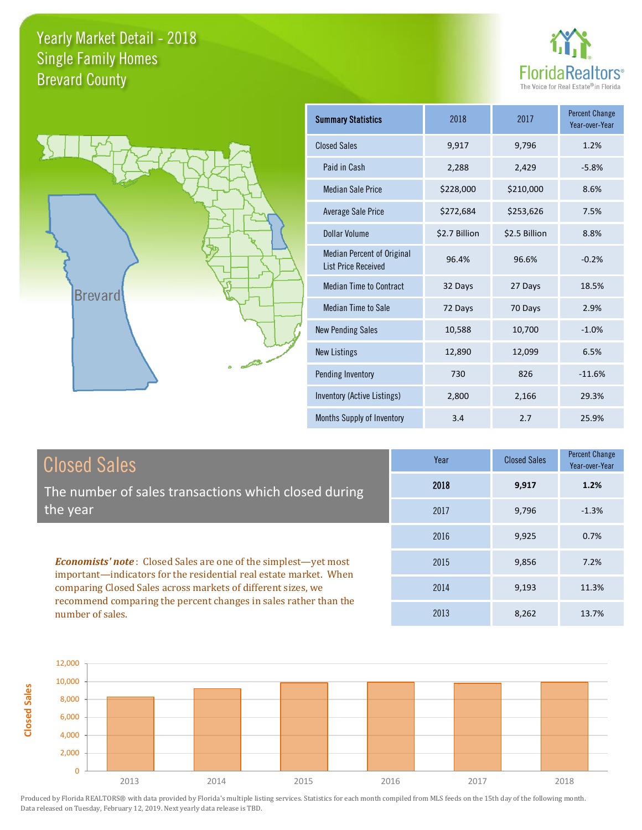**Closed Sales**





| <b>Summary Statistics</b>                                       | 2018          | 2017          | <b>Percent Change</b><br>Year-over-Year |
|-----------------------------------------------------------------|---------------|---------------|-----------------------------------------|
| <b>Closed Sales</b>                                             | 9,917         | 9,796         | 1.2%                                    |
| Paid in Cash                                                    | 2,288         | 2,429         | $-5.8%$                                 |
| <b>Median Sale Price</b>                                        | \$228,000     | \$210,000     | 8.6%                                    |
| <b>Average Sale Price</b>                                       | \$272,684     | \$253,626     | 7.5%                                    |
| Dollar Volume                                                   | \$2.7 Billion | \$2.5 Billion | 8.8%                                    |
| <b>Median Percent of Original</b><br><b>List Price Received</b> | 96.4%         | 96.6%         | $-0.2%$                                 |
| <b>Median Time to Contract</b>                                  | 32 Days       | 27 Days       | 18.5%                                   |
| <b>Median Time to Sale</b>                                      | 72 Days       | 70 Days       | 2.9%                                    |
| <b>New Pending Sales</b>                                        | 10,588        | 10,700        | $-1.0%$                                 |
| <b>New Listings</b>                                             | 12,890        | 12,099        | 6.5%                                    |
| Pending Inventory                                               | 730           | 826           | $-11.6%$                                |
| Inventory (Active Listings)                                     | 2,800         | 2,166         | 29.3%                                   |
| Months Supply of Inventory                                      | 3.4           | 2.7           | 25.9%                                   |

| <b>Closed Sales</b>                                                                                                                                                                                         | Year | <b>Closed Sales</b> | Percent Change<br>Year-over-Year |
|-------------------------------------------------------------------------------------------------------------------------------------------------------------------------------------------------------------|------|---------------------|----------------------------------|
| The number of sales transactions which closed during                                                                                                                                                        | 2018 | 9,917               | 1.2%                             |
| the year                                                                                                                                                                                                    | 2017 | 9,796               | $-1.3%$                          |
|                                                                                                                                                                                                             | 2016 | 9.925               | 0.7%                             |
| <b>Economists' note:</b> Closed Sales are one of the simplest—yet most<br>important-indicators for the residential real estate market. When<br>comparing Closed Sales across markets of different sizes, we | 2015 | 9,856               | 7.2%                             |
|                                                                                                                                                                                                             | 2014 | 9,193               | 11.3%                            |
| recommend comparing the percent changes in sales rather than the<br>number of sales.                                                                                                                        | 2013 | 8,262               | 13.7%                            |

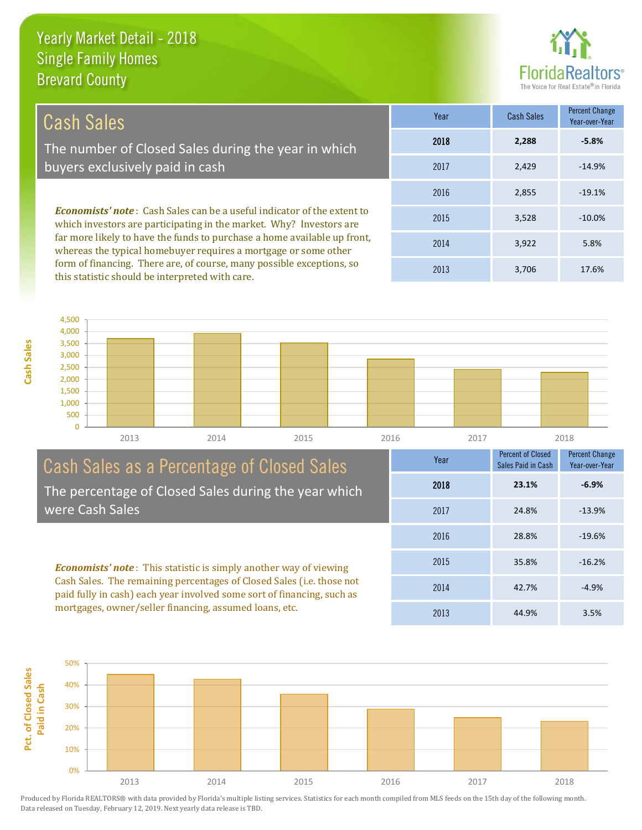this statistic should be interpreted with care.

**Cash Sales**



3,706 17.6%

| Cash Sales                                                                                                                                            | Year | <b>Cash Sales</b> | Percent Change<br>Year-over-Year |
|-------------------------------------------------------------------------------------------------------------------------------------------------------|------|-------------------|----------------------------------|
| The number of Closed Sales during the year in which                                                                                                   | 2018 | 2.288             | $-5.8%$                          |
| buyers exclusively paid in cash                                                                                                                       | 2017 | 2.429             | $-14.9%$                         |
|                                                                                                                                                       | 2016 | 2,855             | $-19.1%$                         |
| <b>Economists' note:</b> Cash Sales can be a useful indicator of the extent to<br>which investors are participating in the market. Why? Investors are | 2015 | 3,528             | $-10.0%$                         |
| far more likely to have the funds to purchase a home available up front,<br>whereas the typical homebuyer requires a mortgage or some other           | 2014 | 3,922             | 5.8%                             |
| form of financing. There are, of course, many possible exceptions, so                                                                                 | 0012 | 2.70c             | 17CO                             |

0 500 1,000 1,500 2,000 2,500 3,000 3,500 4,000 4,500 2013 2014 2015 2016 2017 2018

#### Cash Sales as a Percentage of Closed Sales The percentage of Closed Sales during the year which were Cash Sales

*Economists' note* : This statistic is simply another way of viewing Cash Sales. The remaining percentages of Closed Sales (i.e. those not paid fully in cash) each year involved some sort of financing, such as mortgages, owner/seller financing, assumed loans, etc.



2013

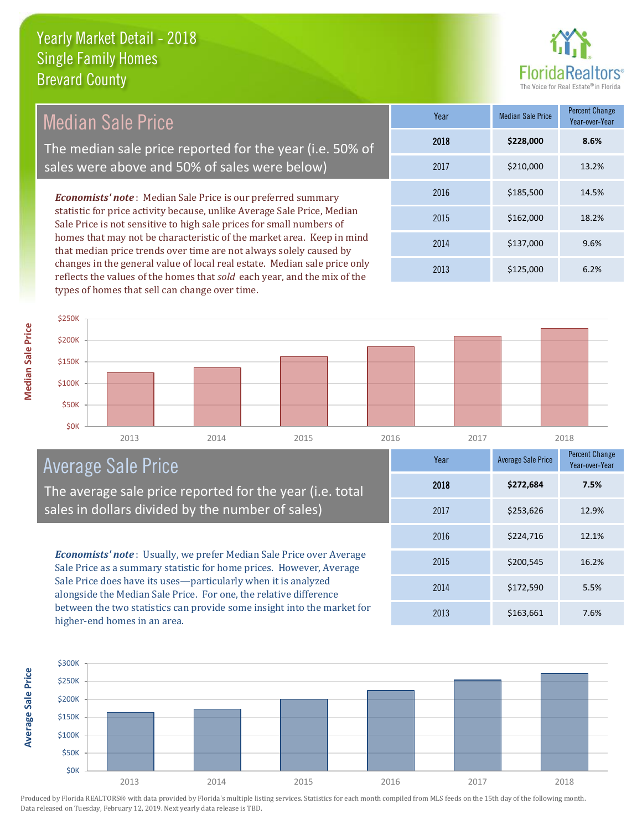

| Median Sale Price                                                                                                                               | Year | <b>Median Sale Price</b> | Percent Change<br>Year-over-Year |
|-------------------------------------------------------------------------------------------------------------------------------------------------|------|--------------------------|----------------------------------|
| The median sale price reported for the year (i.e. 50% of                                                                                        | 2018 | \$228,000                | 8.6%                             |
| sales were above and 50% of sales were below)                                                                                                   | 2017 | \$210,000                | 13.2%                            |
| <b>Economists' note:</b> Median Sale Price is our preferred summary                                                                             | 2016 | \$185,500                | 14.5%                            |
| statistic for price activity because, unlike Average Sale Price, Median<br>Sale Price is not sensitive to high sale prices for small numbers of | 2015 | \$162,000                | 18.2%                            |
| homes that may not be characteristic of the market area. Keep in mind<br>that median price trends over time are not always solely caused by     | 2014 | \$137,000                | 9.6%                             |
| changes in the general value of local real estate. Median sale price only                                                                       | 2013 | \$125,000                | 6.2%                             |

2013 2014 2015 2016 2017 2018 \$0K \$50K \$100K \$150K \$200K \$250K

# Average Sale Price

The average sale price reported for the year (i.e. total sales in dollars divided by the number of sales)

reflects the values of the homes that *sold* each year, and the mix of the

types of homes that sell can change over time.

*Economists' note* : Usually, we prefer Median Sale Price over Average Sale Price as a summary statistic for home prices. However, Average Sale Price does have its uses—particularly when it is analyzed alongside the Median Sale Price. For one, the relative difference between the two statistics can provide some insight into the market for higher-end homes in an area.





**Median Sale Price**

**Median Sale Price**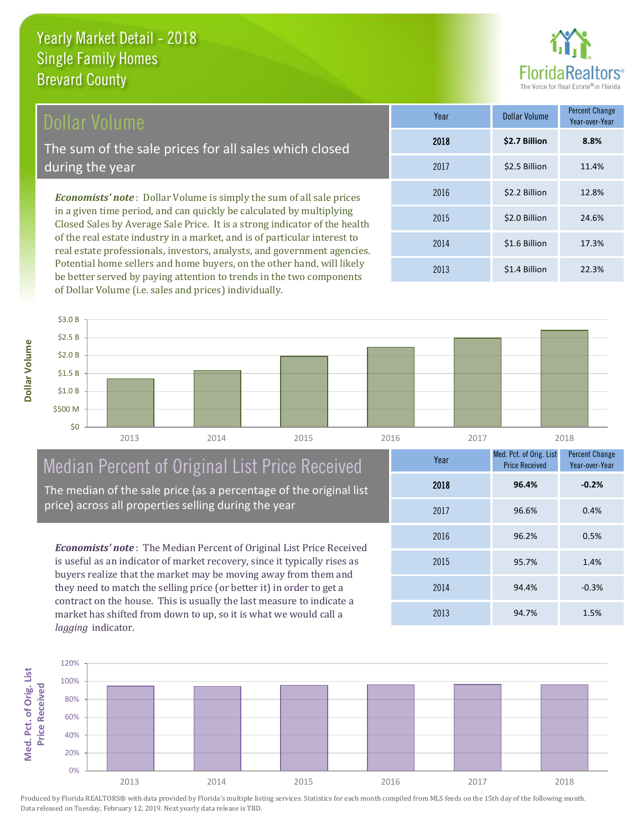### Dollar Volume

The sum of the sale prices for all sales which closed during the year

*Economists' note* : Dollar Volume is simply the sum of all sale prices in a given time period, and can quickly be calculated by multiplying Closed Sales by Average Sale Price. It is a strong indicator of the health of the real estate industry in a market, and is of particular interest to real estate professionals, investors, analysts, and government agencies. Potential home sellers and home buyers, on the other hand, will likely be better served by paying attention to trends in the two components of Dollar Volume (i.e. sales and prices) individually.

| Year | Dollar Volume | <b>Percent Change</b><br>Year-over-Year |
|------|---------------|-----------------------------------------|
| 2018 | \$2.7 Billion | 8.8%                                    |
| 2017 | \$2.5 Billion | 11.4%                                   |
| 2016 | \$2.2 Billion | 12.8%                                   |
| 2015 | \$2.0 Billion | 24.6%                                   |
| 2014 | \$1.6 Billion | 17.3%                                   |
| 2013 | \$1.4 Billion | 22.3%                                   |



# Median Percent of Original List Price Received

The median of the sale price (as a percentage of the original list price) across all properties selling during the year

*Economists' note* : The Median Percent of Original List Price Received is useful as an indicator of market recovery, since it typically rises as buyers realize that the market may be moving away from them and they need to match the selling price (or better it) in order to get a contract on the house. This is usually the last measure to indicate a market has shifted from down to up, so it is what we would call a *lagging* indicator.

| Year | Med. Pct. of Orig. List<br><b>Price Received</b> | <b>Percent Change</b><br>Year-over-Year |
|------|--------------------------------------------------|-----------------------------------------|
| 2018 | 96.4%                                            | $-0.2%$                                 |
| 2017 | 96.6%                                            | 0.4%                                    |
| 2016 | 96.2%                                            | 0.5%                                    |
| 2015 | 95.7%                                            | 1.4%                                    |
| 2014 | 94.4%                                            | $-0.3%$                                 |
| 2013 | 94.7%                                            | 1.5%                                    |

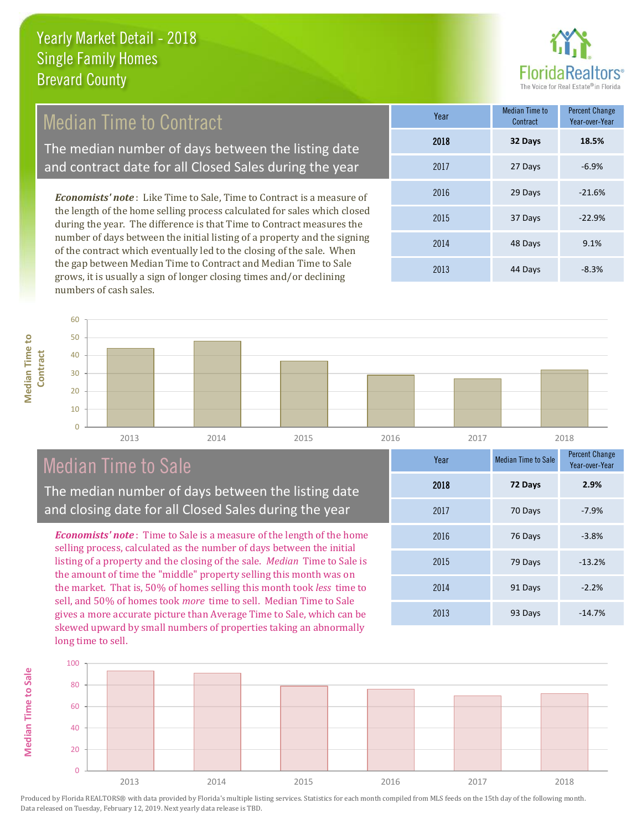

# Median Time to Contract

The median number of days between the listing date and contract date for all Closed Sales during the year

*Economists' note* : Like Time to Sale, Time to Contract is a measure of the length of the home selling process calculated for sales which closed during the year. The difference is that Time to Contract measures the number of days between the initial listing of a property and the signing of the contract which eventually led to the closing of the sale. When the gap between Median Time to Contract and Median Time to Sale grows, it is usually a sign of longer closing times and/or declining numbers of cash sales.

| Year | <b>Median Time to</b><br>Contract | <b>Percent Change</b><br>Year-over-Year |
|------|-----------------------------------|-----------------------------------------|
| 2018 | 32 Days                           | 18.5%                                   |
| 2017 | 27 Days                           | $-6.9%$                                 |
| 2016 | 29 Days                           | $-21.6%$                                |
| 2015 | 37 Days                           | $-22.9%$                                |
| 2014 | 48 Days                           | 9.1%                                    |
| 2013 | 44 Days                           | $-8.3%$                                 |

**Median Time to Median Time to Contract**



## Median Time to Sale

The median number of days between the listing date and closing date for all Closed Sales during the year

*Economists' note* : Time to Sale is a measure of the length of the home selling process, calculated as the number of days between the initial listing of a property and the closing of the sale. *Median* Time to Sale is the amount of time the "middle" property selling this month was on the market. That is, 50% of homes selling this month took *less* time to sell, and 50% of homes took *more* time to sell. Median Time to Sale gives a more accurate picture than Average Time to Sale, which can be skewed upward by small numbers of properties taking an abnormally long time to sell.

| Year | <b>Median Time to Sale</b> | <b>Percent Change</b><br>Year-over-Year |
|------|----------------------------|-----------------------------------------|
| 2018 | 72 Days                    | 2.9%                                    |
| 2017 | 70 Days                    | $-7.9%$                                 |
| 2016 | 76 Days                    | $-3.8%$                                 |
| 2015 | 79 Days                    | $-13.2%$                                |
| 2014 | 91 Days                    | $-2.2%$                                 |
| 2013 | 93 Days                    | $-14.7%$                                |

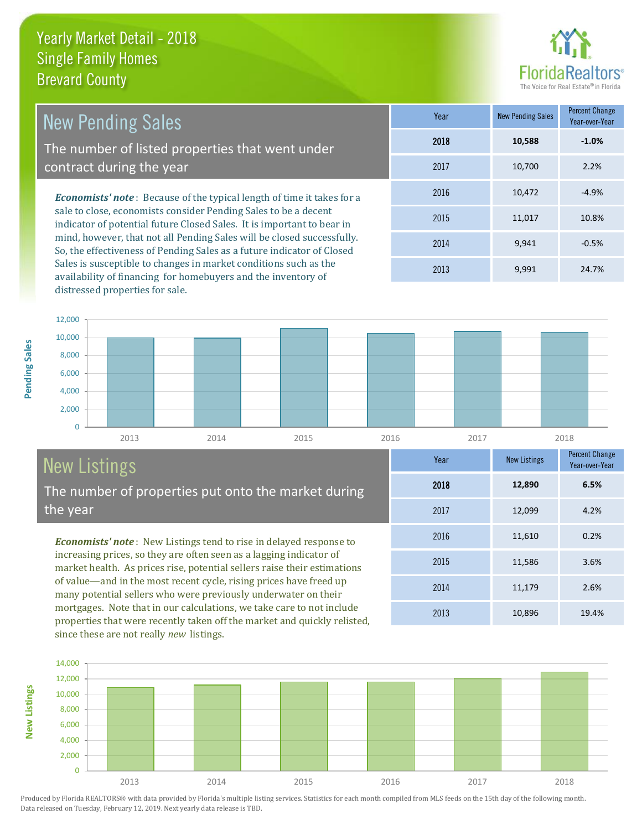distressed properties for sale.



2013 10,896 19.4%

2014 11,179 2.6%

2015 11,586 3.6%

2016 11,610 0.2%

2017 12,099 4.2%

2018 **12,890**

**Year** New Listings Percent Change

2013 9,991 24.7%

**6.5%**

Year-over-Year

| <b>New Pending Sales</b>                                                                                                                         | Year | <b>New Pending Sales</b> | Percent Change<br>Year-over-Year |
|--------------------------------------------------------------------------------------------------------------------------------------------------|------|--------------------------|----------------------------------|
| The number of listed properties that went under                                                                                                  | 2018 | 10,588                   | $-1.0%$                          |
| contract during the year                                                                                                                         | 2017 | 10,700                   | 2.2%                             |
| <b>Economists' note:</b> Because of the typical length of time it takes for a                                                                    | 2016 | 10,472                   | $-4.9%$                          |
| sale to close, economists consider Pending Sales to be a decent<br>indicator of potential future Closed Sales. It is important to bear in        | 2015 | 11,017                   | 10.8%                            |
| mind, however, that not all Pending Sales will be closed successfully.<br>So, the effectiveness of Pending Sales as a future indicator of Closed | 2014 | 9,941                    | $-0.5%$                          |

0 2,000 4,000 6,000 8,000 10,000 12,000 2013 2014 2015 2016 2017 2018

# New Listings

**New Listings**

**Pending Sales**

Pending Sales

The number of properties put onto the market during the year

Sales is susceptible to changes in market conditions such as the availability of financing for homebuyers and the inventory of

*Economists' note* : New Listings tend to rise in delayed response to increasing prices, so they are often seen as a lagging indicator of market health. As prices rise, potential sellers raise their estimations of value—and in the most recent cycle, rising prices have freed up many potential sellers who were previously underwater on their mortgages. Note that in our calculations, we take care to not include properties that were recently taken off the market and quickly relisted, since these are not really *new* listings.

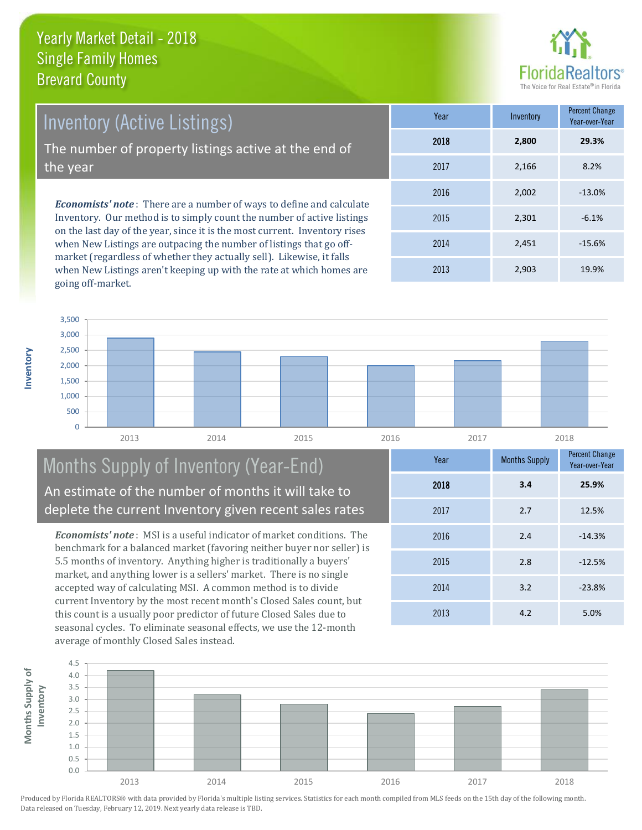

*Economists' note* : There are a number of ways to define and calculate Inventory (Active Listings) The number of property listings active at the end of the year

Inventory. Our method is to simply count the number of active listings on the last day of the year, since it is the most current. Inventory rises when New Listings are outpacing the number of listings that go offmarket (regardless of whether they actually sell). Likewise, it falls when New Listings aren't keeping up with the rate at which homes are going off-market.

| Year | Inventory | <b>Percent Change</b><br>Year-over-Year |
|------|-----------|-----------------------------------------|
| 2018 | 2,800     | 29.3%                                   |
| 2017 | 2,166     | 8.2%                                    |
| 2016 | 2,002     | $-13.0%$                                |
| 2015 | 2,301     | $-6.1%$                                 |
| 2014 | 2,451     | $-15.6%$                                |
| 2013 | 2,903     | 19.9%                                   |



#### Months Supply of Inventory (Year-End) An estimate of the number of months it will take to deplete the current Inventory given recent sales rates

*Economists' note* : MSI is a useful indicator of market conditions. The benchmark for a balanced market (favoring neither buyer nor seller) is 5.5 months of inventory. Anything higher is traditionally a buyers' market, and anything lower is a sellers' market. There is no single accepted way of calculating MSI. A common method is to divide current Inventory by the most recent month's Closed Sales count, but this count is a usually poor predictor of future Closed Sales due to seasonal cycles. To eliminate seasonal effects, we use the 12-month average of monthly Closed Sales instead.

| Year | <b>Months Supply</b> | <b>Percent Change</b><br>Year-over-Year |
|------|----------------------|-----------------------------------------|
| 2018 | 3.4                  | 25.9%                                   |
| 2017 | 2.7                  | 12.5%                                   |
| 2016 | 2.4                  | $-14.3%$                                |
| 2015 | 2.8                  | $-12.5%$                                |
| 2014 | 3.2                  | $-23.8%$                                |
| 2013 | 4.2                  | 5.0%                                    |



Produced by Florida REALTORS® with data provided by Florida's multiple listing services. Statistics for each month compiled from MLS feeds on the 15th day of the following month. Data released on Tuesday, February 12, 2019. Next yearly data release is TBD.

**Months Supply of** 

Months Supply of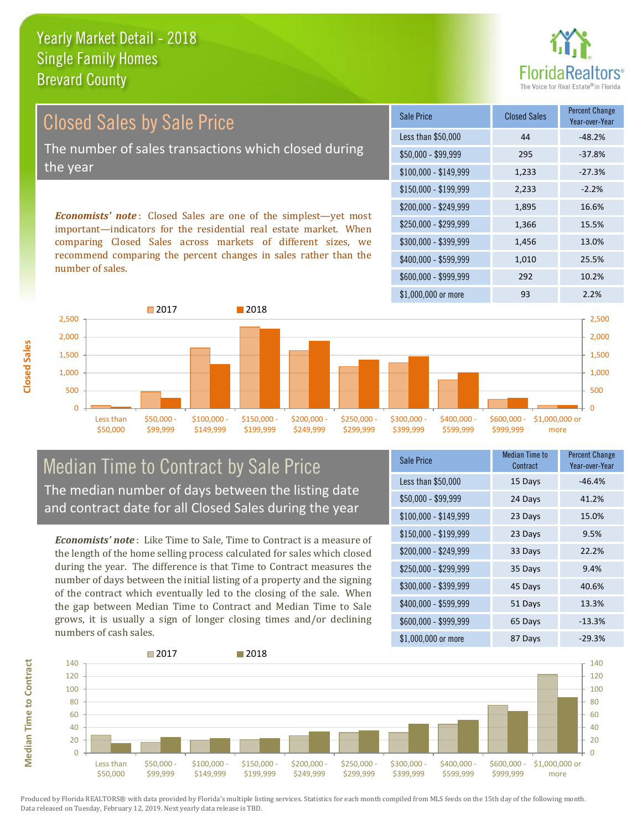

# Closed Sales by Sale Price The number of sales transactions which closed during the year

*Economists' note* : Closed Sales are one of the simplest—yet most important—indicators for the residential real estate market. When comparing Closed Sales across markets of different sizes, we recommend comparing the percent changes in sales rather than the number of sales.

| Sale Price            | <b>Closed Sales</b> | <b>Percent Change</b><br>Year-over-Year |
|-----------------------|---------------------|-----------------------------------------|
| Less than \$50,000    | 44                  | $-48.2%$                                |
| $$50,000 - $99,999$   | 295                 | $-37.8%$                                |
| $$100,000 - $149,999$ | 1,233               | $-27.3%$                                |
| $$150,000 - $199,999$ | 2,233               | $-2.2%$                                 |
| \$200,000 - \$249,999 | 1,895               | 16.6%                                   |
| \$250,000 - \$299,999 | 1,366               | 15.5%                                   |
| \$300,000 - \$399,999 | 1,456               | 13.0%                                   |
| \$400,000 - \$599,999 | 1,010               | 25.5%                                   |
| \$600,000 - \$999,999 | 292                 | 10.2%                                   |
| \$1,000,000 or more   | 93                  | 2.2%                                    |



#### Median Time to Contract by Sale Price The median number of days between the listing date and contract date for all Closed Sales during the year

*Economists' note* : Like Time to Sale, Time to Contract is a measure of the length of the home selling process calculated for sales which closed during the year. The difference is that Time to Contract measures the number of days between the initial listing of a property and the signing of the contract which eventually led to the closing of the sale. When the gap between Median Time to Contract and Median Time to Sale grows, it is usually a sign of longer closing times and/or declining numbers of cash sales.

| Sale Price            | <b>Median Time to</b><br>Contract | <b>Percent Change</b><br>Year-over-Year |
|-----------------------|-----------------------------------|-----------------------------------------|
| Less than \$50,000    | 15 Days                           | $-46.4%$                                |
| \$50,000 - \$99,999   | 24 Days                           | 41.2%                                   |
| $$100,000 - $149,999$ | 23 Days                           | 15.0%                                   |
| $$150,000 - $199,999$ | 23 Days                           | 9.5%                                    |
| \$200,000 - \$249,999 | 33 Days                           | 22.2%                                   |
| \$250,000 - \$299,999 | 35 Days                           | 9.4%                                    |
| \$300,000 - \$399,999 | 45 Days                           | 40.6%                                   |
| $$400,000 - $599,999$ | 51 Days                           | 13.3%                                   |
| \$600,000 - \$999,999 | 65 Days                           | $-13.3%$                                |
| \$1,000,000 or more   | 87 Days                           | $-29.3%$                                |



Produced by Florida REALTORS® with data provided by Florida's multiple listing services. Statistics for each month compiled from MLS feeds on the 15th day of the following month. Data released on Tuesday, February 12, 2019. Next yearly data release is TBD.

**Median Time to Contract**

**Median Time to Contract**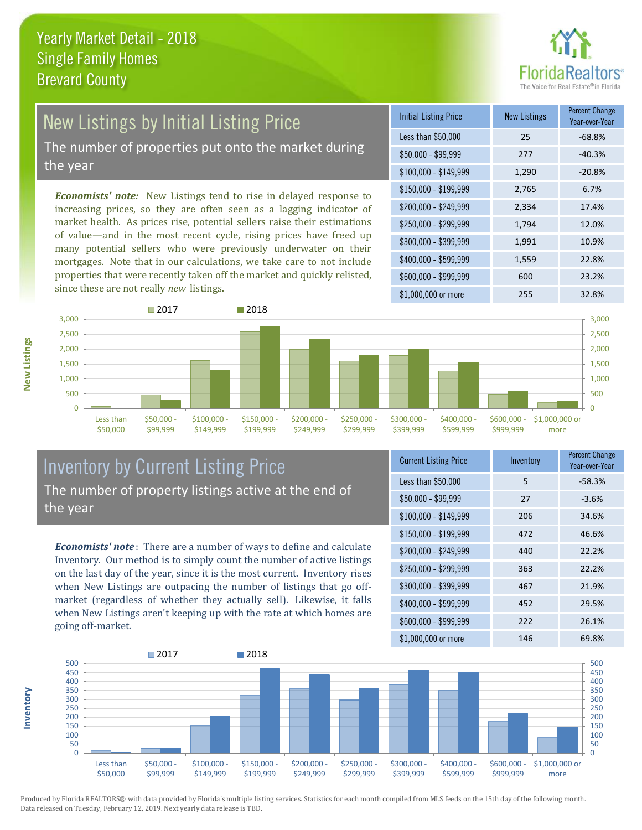

# New Listings by Initial Listing Price

The number of properties put onto the market during the year

*Economists' note:* New Listings tend to rise in delayed response to increasing prices, so they are often seen as a lagging indicator of market health. As prices rise, potential sellers raise their estimations of value—and in the most recent cycle, rising prices have freed up many potential sellers who were previously underwater on their mortgages. Note that in our calculations, we take care to not include properties that were recently taken off the market and quickly relisted, since these are not really *new* listings.

| <b>Initial Listing Price</b> | <b>New Listings</b> | <b>Percent Change</b><br>Year-over-Year |
|------------------------------|---------------------|-----------------------------------------|
| Less than \$50,000           | 25                  | $-68.8%$                                |
| \$50,000 - \$99,999          | 277                 | $-40.3%$                                |
| $$100,000 - $149,999$        | 1,290               | $-20.8%$                                |
| $$150,000 - $199,999$        | 2,765               | 6.7%                                    |
| \$200,000 - \$249,999        | 2,334               | 17.4%                                   |
| \$250,000 - \$299,999        | 1,794               | 12.0%                                   |
| \$300,000 - \$399,999        | 1,991               | 10.9%                                   |
| \$400,000 - \$599,999        | 1,559               | 22.8%                                   |
| \$600,000 - \$999,999        | 600                 | 23.2%                                   |
| \$1,000,000 or more          | 255                 | 32.8%                                   |



#### Inventory by Current Listing Price The number of property listings active at the end of the year

*Economists' note* : There are a number of ways to define and calculate Inventory. Our method is to simply count the number of active listings on the last day of the year, since it is the most current. Inventory rises when New Listings are outpacing the number of listings that go offmarket (regardless of whether they actually sell). Likewise, it falls when New Listings aren't keeping up with the rate at which homes are going off-market.

| <b>Current Listing Price</b> | Inventory | Percent Change<br>Year-over-Year |
|------------------------------|-----------|----------------------------------|
| Less than \$50,000           | 5         | $-58.3%$                         |
| $$50,000 - $99,999$          | 27        | $-3.6%$                          |
| $$100,000 - $149,999$        | 206       | 34.6%                            |
| $$150,000 - $199,999$        | 472       | 46.6%                            |
| \$200,000 - \$249,999        | 440       | 22.2%                            |
| \$250,000 - \$299,999        | 363       | 22.2%                            |
| \$300,000 - \$399,999        | 467       | 21.9%                            |
| \$400,000 - \$599,999        | 452       | 29.5%                            |
| \$600,000 - \$999,999        | 222       | 26.1%                            |
| \$1,000,000 or more          | 146       | 69.8%                            |



Produced by Florida REALTORS® with data provided by Florida's multiple listing services. Statistics for each month compiled from MLS feeds on the 15th day of the following month. Data released on Tuesday, February 12, 2019. Next yearly data release is TBD.

**Inventory**